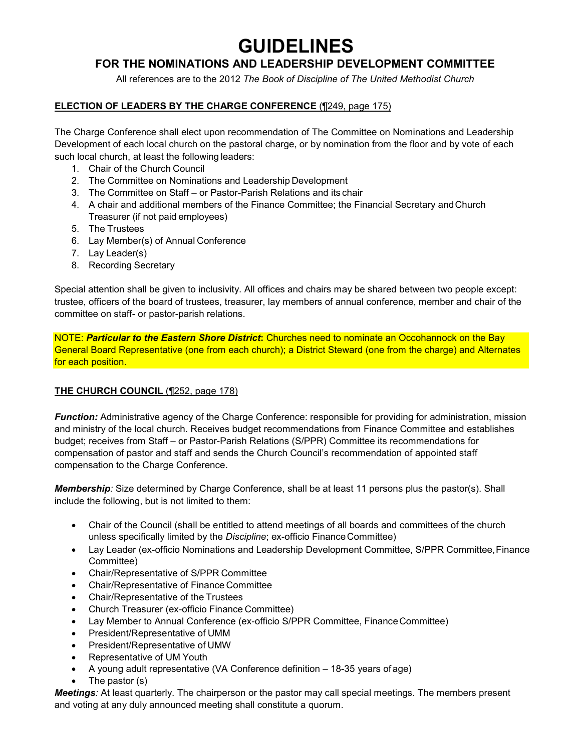# **GUIDELINES**

# **FOR THE NOMINATIONS AND LEADERSHIP DEVELOPMENT COMMITTEE**

All references are to the 2012 *The Book of Discipline of The United Methodist Church*

## **ELECTION OF LEADERS BY THE CHARGE CONFERENCE** (¶249, page 175)

The Charge Conference shall elect upon recommendation of The Committee on Nominations and Leadership Development of each local church on the pastoral charge, or by nomination from the floor and by vote of each such local church, at least the following leaders:

- 1. Chair of the Church Council
- 2. The Committee on Nominations and Leadership Development
- 3. The Committee on Staff or Pastor-Parish Relations and its chair
- 4. A chair and additional members of the Finance Committee; the Financial Secretary andChurch Treasurer (if not paid employees)
- 5. The Trustees
- 6. Lay Member(s) of Annual Conference
- 7. Lay Leader(s)
- 8. Recording Secretary

Special attention shall be given to inclusivity. All offices and chairs may be shared between two people except: trustee, officers of the board of trustees, treasurer, lay members of annual conference, member and chair of the committee on staff- or pastor-parish relations.

NOTE: *Particular to the Eastern Shore District***:** Churches need to nominate an Occohannock on the Bay General Board Representative (one from each church); a District Steward (one from the charge) and Alternates for each position.

## **THE CHURCH COUNCIL** (¶252, page 178)

*Function:* Administrative agency of the Charge Conference: responsible for providing for administration, mission and ministry of the local church. Receives budget recommendations from Finance Committee and establishes budget; receives from Staff – or Pastor-Parish Relations (S/PPR) Committee its recommendations for compensation of pastor and staff and sends the Church Council's recommendation of appointed staff compensation to the Charge Conference.

*Membership:* Size determined by Charge Conference, shall be at least 11 persons plus the pastor(s). Shall include the following, but is not limited to them:

- Chair of the Council (shall be entitled to attend meetings of all boards and committees of the church unless specifically limited by the *Discipline*; ex-officio FinanceCommittee)
- Lay Leader (ex-officio Nominations and Leadership Development Committee, S/PPR Committee, Finance Committee)
- Chair/Representative of S/PPR Committee
- Chair/Representative of Finance Committee
- Chair/Representative of the Trustees
- Church Treasurer (ex-officio Finance Committee)
- Lay Member to Annual Conference (ex-officio S/PPR Committee, Finance Committee)
- President/Representative of UMM
- President/Representative of UMW
- Representative of UM Youth
- A young adult representative (VA Conference definition 18-35 years of age)
- The pastor  $(s)$

*Meetings:* At least quarterly. The chairperson or the pastor may call special meetings. The members present and voting at any duly announced meeting shall constitute a quorum.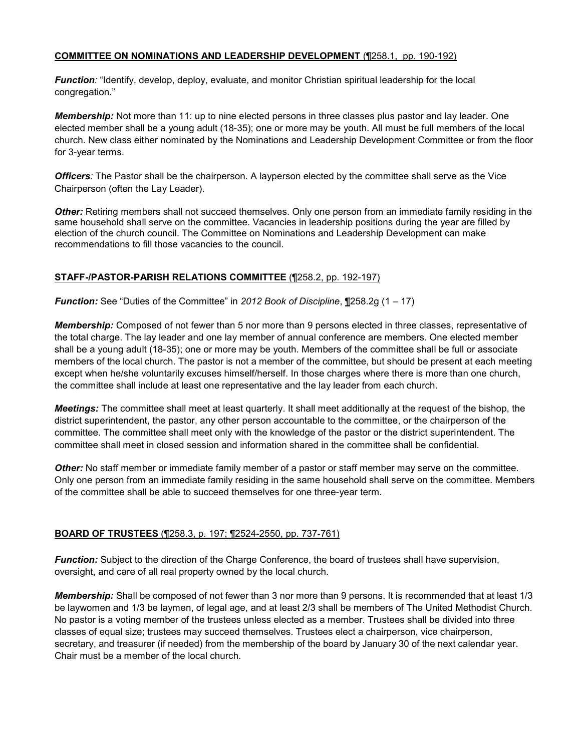#### **COMMITTEE ON NOMINATIONS AND LEADERSHIP DEVELOPMENT** (¶258.1, pp. 190-192)

*Function:* "Identify, develop, deploy, evaluate, and monitor Christian spiritual leadership for the local congregation."

*Membership:* Not more than 11: up to nine elected persons in three classes plus pastor and lay leader. One elected member shall be a young adult (18-35); one or more may be youth. All must be full members of the local church. New class either nominated by the Nominations and Leadership Development Committee or from the floor for 3-year terms.

*Officers:* The Pastor shall be the chairperson. A layperson elected by the committee shall serve as the Vice Chairperson (often the Lay Leader).

*Other:* Retiring members shall not succeed themselves. Only one person from an immediate family residing in the same household shall serve on the committee. Vacancies in leadership positions during the year are filled by election of the church council. The Committee on Nominations and Leadership Development can make recommendations to fill those vacancies to the council.

#### **STAFF-/PASTOR-PARISH RELATIONS COMMITTEE** (¶258.2, pp. 192-197)

*Function:* See "Duties of the Committee" in *2012 Book of Discipline*, ¶258.2g (1 – 17)

*Membership:* Composed of not fewer than 5 nor more than 9 persons elected in three classes, representative of the total charge. The lay leader and one lay member of annual conference are members. One elected member shall be a young adult (18-35); one or more may be youth. Members of the committee shall be full or associate members of the local church. The pastor is not a member of the committee, but should be present at each meeting except when he/she voluntarily excuses himself/herself. In those charges where there is more than one church, the committee shall include at least one representative and the lay leader from each church.

*Meetings:* The committee shall meet at least quarterly. It shall meet additionally at the request of the bishop, the district superintendent, the pastor, any other person accountable to the committee, or the chairperson of the committee. The committee shall meet only with the knowledge of the pastor or the district superintendent. The committee shall meet in closed session and information shared in the committee shall be confidential.

*Other:* No staff member or immediate family member of a pastor or staff member may serve on the committee. Only one person from an immediate family residing in the same household shall serve on the committee. Members of the committee shall be able to succeed themselves for one three-year term.

#### **BOARD OF TRUSTEES** (¶258.3, p. 197; ¶2524-2550, pp. 737-761)

*Function:* Subject to the direction of the Charge Conference, the board of trustees shall have supervision, oversight, and care of all real property owned by the local church.

*Membership:* Shall be composed of not fewer than 3 nor more than 9 persons. It is recommended that at least 1/3 be laywomen and 1/3 be laymen, of legal age, and at least 2/3 shall be members of The United Methodist Church. No pastor is a voting member of the trustees unless elected as a member. Trustees shall be divided into three classes of equal size; trustees may succeed themselves. Trustees elect a chairperson, vice chairperson, secretary, and treasurer (if needed) from the membership of the board by January 30 of the next calendar year. Chair must be a member of the local church.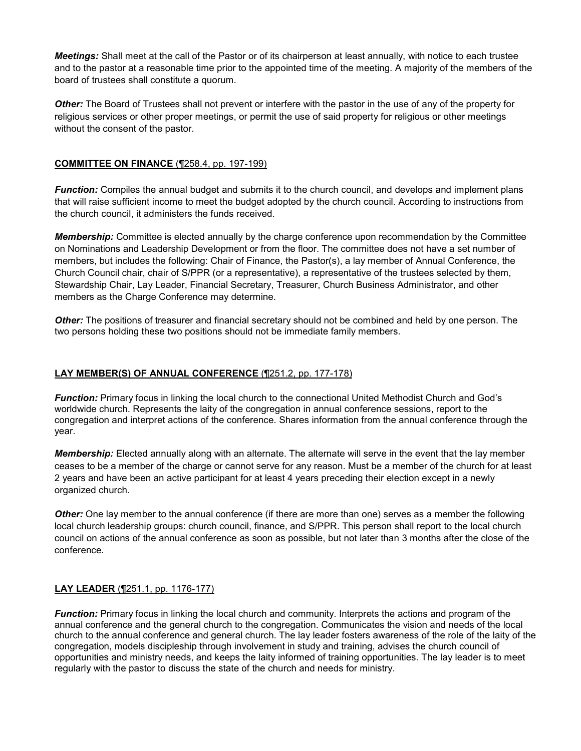*Meetings:* Shall meet at the call of the Pastor or of its chairperson at least annually, with notice to each trustee and to the pastor at a reasonable time prior to the appointed time of the meeting. A majority of the members of the board of trustees shall constitute a quorum.

*Other:* The Board of Trustees shall not prevent or interfere with the pastor in the use of any of the property for religious services or other proper meetings, or permit the use of said property for religious or other meetings without the consent of the pastor.

#### **COMMITTEE ON FINANCE** (¶258.4, pp. 197-199)

*Function:* Compiles the annual budget and submits it to the church council, and develops and implement plans that will raise sufficient income to meet the budget adopted by the church council. According to instructions from the church council, it administers the funds received.

*Membership:* Committee is elected annually by the charge conference upon recommendation by the Committee on Nominations and Leadership Development or from the floor. The committee does not have a set number of members, but includes the following: Chair of Finance, the Pastor(s), a lay member of Annual Conference, the Church Council chair, chair of S/PPR (or a representative), a representative of the trustees selected by them, Stewardship Chair, Lay Leader, Financial Secretary, Treasurer, Church Business Administrator, and other members as the Charge Conference may determine.

*Other:* The positions of treasurer and financial secretary should not be combined and held by one person. The two persons holding these two positions should not be immediate family members.

#### **LAY MEMBER(S) OF ANNUAL CONFERENCE** (¶251.2, pp. 177-178)

*Function:* Primary focus in linking the local church to the connectional United Methodist Church and God's worldwide church. Represents the laity of the congregation in annual conference sessions, report to the congregation and interpret actions of the conference. Shares information from the annual conference through the year.

*Membership:* Elected annually along with an alternate. The alternate will serve in the event that the lay member ceases to be a member of the charge or cannot serve for any reason. Must be a member of the church for at least 2 years and have been an active participant for at least 4 years preceding their election except in a newly organized church.

*Other:* One lay member to the annual conference (if there are more than one) serves as a member the following local church leadership groups: church council, finance, and S/PPR. This person shall report to the local church council on actions of the annual conference as soon as possible, but not later than 3 months after the close of the conference.

#### **LAY LEADER** (¶251.1, pp. 1176-177)

*Function:* Primary focus in linking the local church and community. Interprets the actions and program of the annual conference and the general church to the congregation. Communicates the vision and needs of the local church to the annual conference and general church. The lay leader fosters awareness of the role of the laity of the congregation, models discipleship through involvement in study and training, advises the church council of opportunities and ministry needs, and keeps the laity informed of training opportunities. The lay leader is to meet regularly with the pastor to discuss the state of the church and needs for ministry.